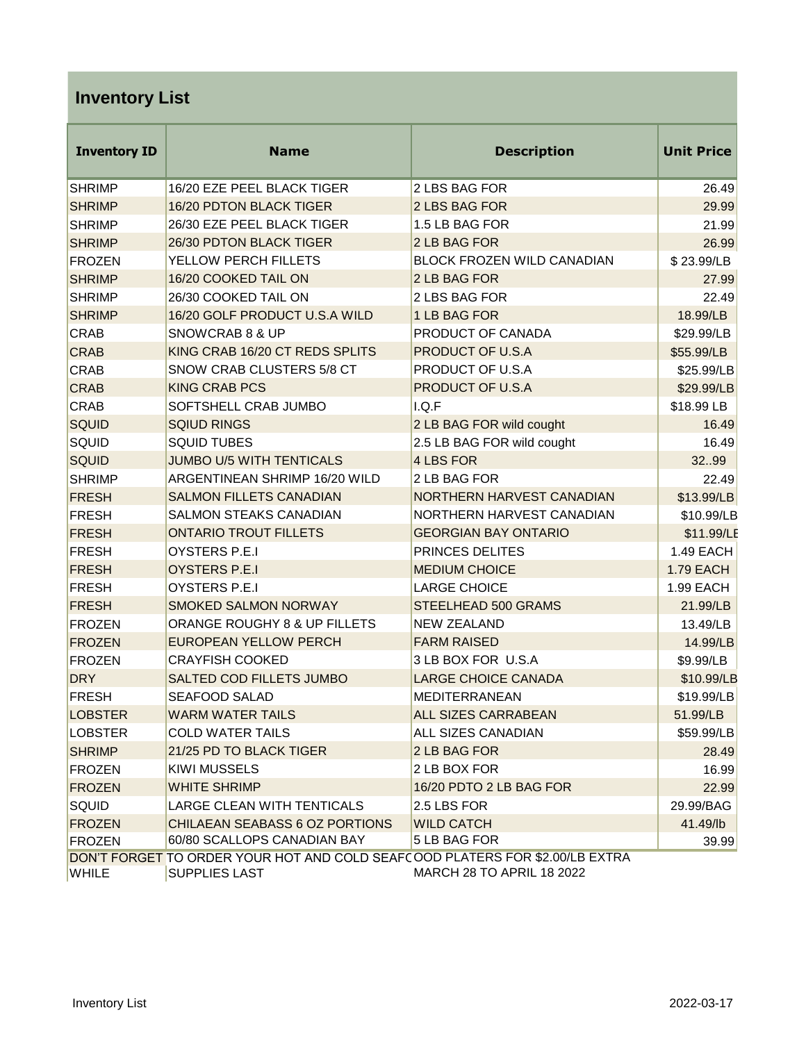## **Inventory List**

| <b>Inventory ID</b> | <b>Name</b>                                                                                          | <b>Description</b>               | <b>Unit Price</b> |
|---------------------|------------------------------------------------------------------------------------------------------|----------------------------------|-------------------|
| <b>SHRIMP</b>       | 16/20 EZE PEEL BLACK TIGER                                                                           | 2 LBS BAG FOR                    | 26.49             |
| <b>SHRIMP</b>       | 16/20 PDTON BLACK TIGER                                                                              | 2 LBS BAG FOR                    | 29.99             |
| <b>SHRIMP</b>       | 26/30 EZE PEEL BLACK TIGER                                                                           | 1.5 LB BAG FOR                   | 21.99             |
| <b>SHRIMP</b>       | 26/30 PDTON BLACK TIGER                                                                              | 2 LB BAG FOR                     | 26.99             |
| <b>FROZEN</b>       | YELLOW PERCH FILLETS                                                                                 | BLOCK FROZEN WILD CANADIAN       | \$23.99/LB        |
| <b>SHRIMP</b>       | 16/20 COOKED TAIL ON                                                                                 | 2 LB BAG FOR                     | 27.99             |
| <b>SHRIMP</b>       | 26/30 COOKED TAIL ON                                                                                 | 2 LBS BAG FOR                    | 22.49             |
| <b>SHRIMP</b>       | 16/20 GOLF PRODUCT U.S.A WILD                                                                        | 1 LB BAG FOR                     | 18.99/LB          |
| <b>CRAB</b>         | SNOWCRAB 8 & UP                                                                                      | PRODUCT OF CANADA                | \$29.99/LB        |
| <b>CRAB</b>         | KING CRAB 16/20 CT REDS SPLITS                                                                       | PRODUCT OF U.S.A                 | \$55.99/LB        |
| <b>CRAB</b>         | SNOW CRAB CLUSTERS 5/8 CT                                                                            | PRODUCT OF U.S.A                 | \$25.99/LB        |
| <b>CRAB</b>         | <b>KING CRAB PCS</b>                                                                                 | PRODUCT OF U.S.A                 | \$29.99/LB        |
| <b>CRAB</b>         | SOFTSHELL CRAB JUMBO                                                                                 | I.Q.F                            | \$18.99 LB        |
| <b>SQUID</b>        | <b>SQIUD RINGS</b>                                                                                   | 2 LB BAG FOR wild cought         | 16.49             |
| SQUID               | <b>SQUID TUBES</b>                                                                                   | 2.5 LB BAG FOR wild cought       | 16.49             |
| <b>SQUID</b>        | <b>JUMBO U/5 WITH TENTICALS</b>                                                                      | 4 LBS FOR                        | 3299              |
| <b>SHRIMP</b>       | ARGENTINEAN SHRIMP 16/20 WILD                                                                        | 2 LB BAG FOR                     | 22.49             |
| <b>FRESH</b>        | <b>SALMON FILLETS CANADIAN</b>                                                                       | NORTHERN HARVEST CANADIAN        | \$13.99/LB        |
| <b>FRESH</b>        | SALMON STEAKS CANADIAN                                                                               | NORTHERN HARVEST CANADIAN        | \$10.99/LB        |
| <b>FRESH</b>        | <b>ONTARIO TROUT FILLETS</b>                                                                         | <b>GEORGIAN BAY ONTARIO</b>      | \$11.99/LE        |
| <b>FRESH</b>        | OYSTERS P.E.I                                                                                        | PRINCES DELITES                  | 1.49 EACH         |
| <b>FRESH</b>        | <b>OYSTERS P.E.I</b>                                                                                 | <b>MEDIUM CHOICE</b>             | <b>1.79 EACH</b>  |
| <b>FRESH</b>        | OYSTERS P.E.I                                                                                        | <b>LARGE CHOICE</b>              | 1.99 EACH         |
| <b>FRESH</b>        | <b>SMOKED SALMON NORWAY</b>                                                                          | STEELHEAD 500 GRAMS              | 21.99/LB          |
| <b>FROZEN</b>       | ORANGE ROUGHY 8 & UP FILLETS                                                                         | <b>NEW ZEALAND</b>               | 13.49/LB          |
| <b>FROZEN</b>       | <b>EUROPEAN YELLOW PERCH</b>                                                                         | <b>FARM RAISED</b>               | 14.99/LB          |
| <b>FROZEN</b>       | <b>CRAYFISH COOKED</b>                                                                               | 3 LB BOX FOR U.S.A               | \$9.99/LB         |
| <b>DRY</b>          | SALTED COD FILLETS JUMBO                                                                             | <b>LARGE CHOICE CANADA</b>       | \$10.99/LB        |
| <b>FRESH</b>        | <b>SEAFOOD SALAD</b>                                                                                 | <b>MEDITERRANEAN</b>             | \$19.99/LB        |
| <b>LOBSTER</b>      | <b>WARM WATER TAILS</b>                                                                              | <b>ALL SIZES CARRABEAN</b>       | 51.99/LB          |
| <b>LOBSTER</b>      | COLD WATER TAILS                                                                                     | ALL SIZES CANADIAN               | \$59.99/LB        |
| <b>SHRIMP</b>       | 21/25 PD TO BLACK TIGER                                                                              | 2 LB BAG FOR                     | 28.49             |
| <b>FROZEN</b>       | KIWI MUSSELS                                                                                         | 2 LB BOX FOR                     | 16.99             |
| <b>FROZEN</b>       | <b>WHITE SHRIMP</b>                                                                                  | 16/20 PDTO 2 LB BAG FOR          | 22.99             |
| SQUID               | <b>LARGE CLEAN WITH TENTICALS</b>                                                                    | 2.5 LBS FOR                      | 29.99/BAG         |
| <b>FROZEN</b>       | CHILAEAN SEABASS 6 OZ PORTIONS                                                                       | <b>WILD CATCH</b>                | 41.49/lb          |
| <b>FROZEN</b>       | 60/80 SCALLOPS CANADIAN BAY                                                                          | 5 LB BAG FOR                     | 39.99             |
| <b>WHILE</b>        | DON'T FORGET TO ORDER YOUR HOT AND COLD SEAFCOOD PLATERS FOR \$2.00/LB EXTRA<br><b>SUPPLIES LAST</b> | <b>MARCH 28 TO APRIL 18 2022</b> |                   |